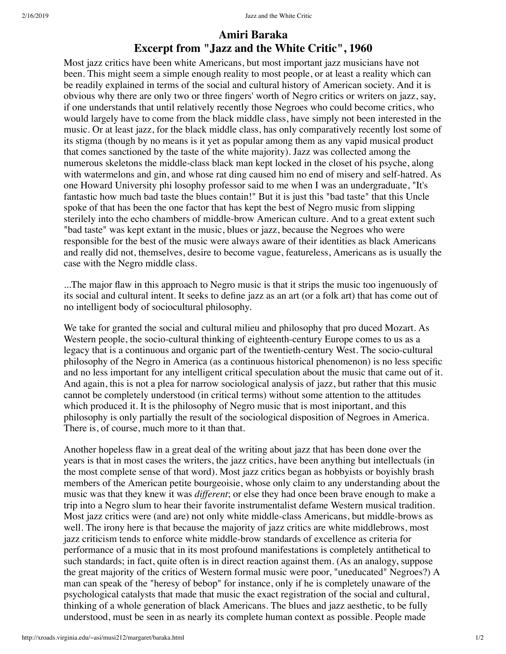## **Excerpt from "Jazz and the White Critic", 1960 Amiri Baraka**

Most jazz critics have been white Americans, but most important jazz musicians have not been. This might seem a simple enough reality to most people, or at least a reality which can be readily explained in terms of the social and cultural history of American society. And it is obvious why there are only two or three fingers' worth of Negro critics or writers on jazz, say, if one understands that until relatively recently those Negroes who could become critics, who would largely have to come from the black middle class, have simply not been interested in the music. Or at least jazz, for the black middle class, has only comparatively recently lost some of its stigma (though by no means is it yet as popular among them as any vapid musical product that comes sanctioned by the taste of the white majority). Jazz was collected among the numerous skeletons the middle-class black man kept locked in the closet of his psyche, along with watermelons and gin, and whose rat ding caused him no end of misery and self-hatred. As one Howard University phi losophy professor said to me when I was an undergraduate, "It's fantastic how much bad taste the blues contain!" But it is just this "bad taste" that this Uncle spoke of that has been the one factor that has kept the best of Negro music from slipping sterilely into the echo chambers of middle-brow American culture. And to a great extent such "bad taste" was kept extant in the music, blues or jazz, because the Negroes who were responsible for the best of the music were always aware of their identities as black Americans and really did not, themselves, desire to become vague, featureless, Americans as is usually the case with the Negro middle class.

...The major flaw in this approach to Negro music is that it strips the music too ingenuously of its social and cultural intent. It seeks to define jazz as an art (or a folk art) that has come out of no intelligent body of sociocultural philosophy.

We take for granted the social and cultural milieu and philosophy that pro duced Mozart. As Western people, the socio-cultural thinking of eighteenth-century Europe comes to us as a legacy that is a continuous and organic part of the twentieth-century West. The socio-cultural philosophy of the Negro in America (as a continuous historical phenomenon) is no less specific and no less important for any intelligent critical speculation about the music that came out of it. And again, this is not a plea for narrow sociological analysis of jazz, but rather that this music cannot be completely understood (in critical terms) without some attention to the attitudes which produced it. It is the philosophy of Negro music that is most iniportant, and this philosophy is only partially the result of the sociological disposition of Negroes in America. There is, of course, much more to it than that.

Another hopeless flaw in a great deal of the writing about jazz that has been done over the years is that in most cases the writers, the jazz critics, have been anything but intellectuals (in the most complete sense of that word). Most jazz critics began as hobbyists or boyishly brash members of the American petite bourgeoisie, whose only claim to any understanding about the music was that they knew it was *different*; or else they had once been brave enough to make a trip into a Negro slum to hear their favorite instrumentalist defame Western musical tradition. Most jazz critics were (and are) not only white middle-class Americans, but middle-brows as well. The irony here is that because the majority of jazz critics are white middlebrows, most jazz criticism tends to enforce white middle-brow standards of excellence as criteria for performance of a music that in its most profound manifestations is completely antithetical to such standards; in fact, quite often is in direct reaction against them. (As an analogy, suppose the great majority of the critics of Western formal music were poor, "uneducated" Negroes?) A man can speak of the "heresy of bebop" for instance, only if he is completely unaware of the psychological catalysts that made that music the exact registration of the social and cultural, thinking of a whole generation of black Americans. The blues and jazz aesthetic, to be fully understood, must be seen in as nearly its complete human context as possible. People made